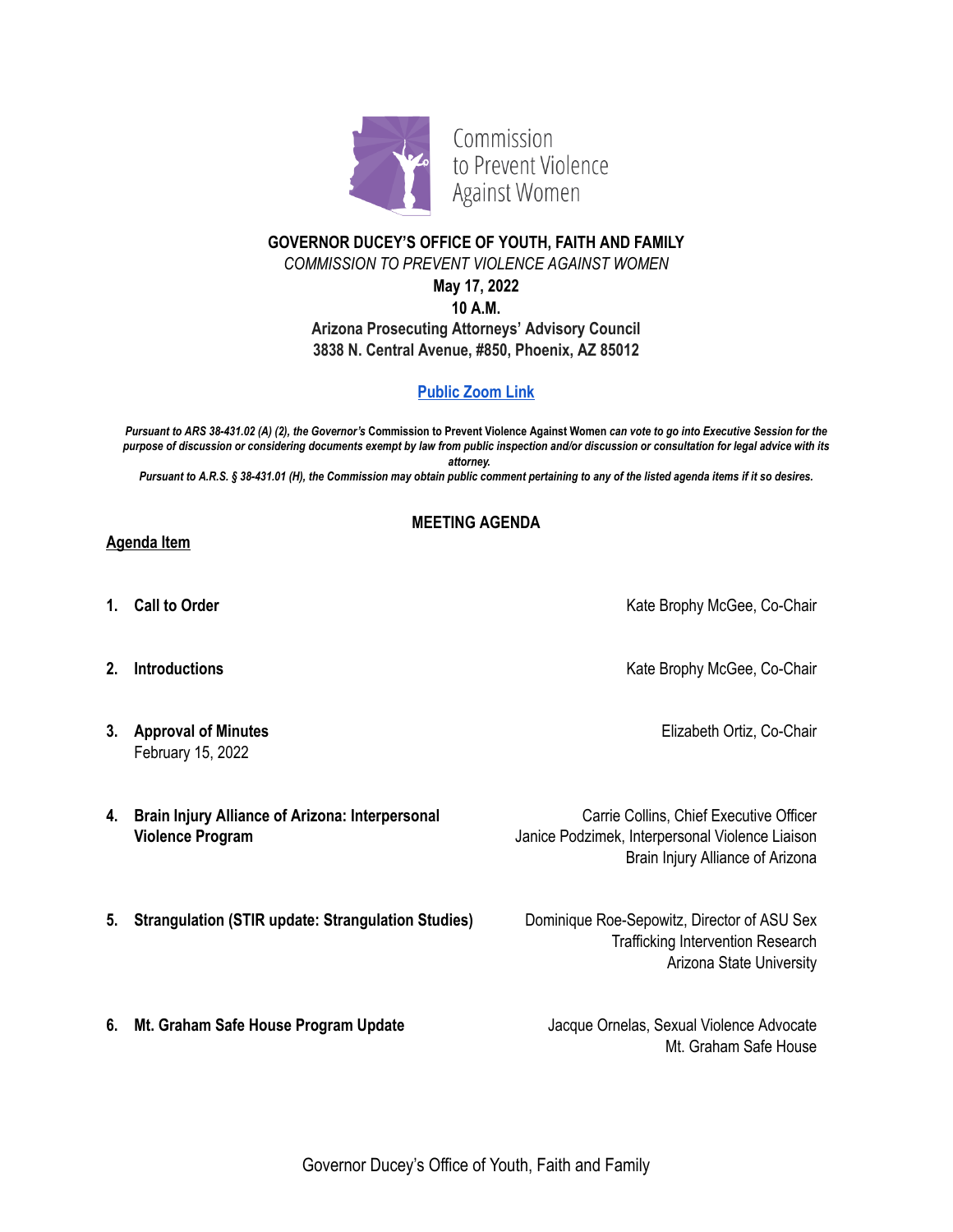Commission to Prevent Violence<br>Against Women

# **GOVERNOR DUCEY'S OFFICE OF YOUTH, FAITH AND FAMILY**

*COMMISSION TO PREVENT VIOLENCE AGAINST WOMEN*

## **May 17, 2022**

**10 A.M.**

**Arizona Prosecuting Attorneys' Advisory Council 3838 N. Central Avenue, #850, Phoenix, AZ 85012**

## **[Public](https://us06web.zoom.us/j/89843039770?pwd=Q085QW56VFZqaWdWOXZNRVR3VWMvQT09) Zoom Link**

Pursuant to ARS 38-431.02 (A) (2), the Governor's Commission to Prevent Violence Against Women can vote to go into Executive Session for the purpose of discussion or considering documents exempt by law from public inspection and/or discussion or consultation for legal advice with its *attorney.*

Pursuant to A.R.S. § 38-431.01 (H), the Commission may obtain public comment pertaining to any of the listed agenda items if it so desires.

### **MEETING AGENDA**

#### **Agenda Item**

- 
- 
- **3. Approval of Minutes** February 15, 2022
- **4. Brain Injury Alliance of Arizona: Interpersonal Violence Program**
- Carrie Collins, Chief Executive Officer Janice Podzimek, Interpersonal Violence Liaison Brain Injury Alliance of Arizona
- **5. Strangulation (STIR update: Strangulation Studies)** Dominique Roe-Sepowitz, Director of ASU Sex

Trafficking Intervention Research Arizona State University

**6.** Mt. Graham Safe House Program Update Jacque Ornelas, Sexual Violence Advocate

Mt. Graham Safe House

1. **Call to Order 1. Call to Order 1. Call to Order Kate Brophy McGee, Co-Chair** 

**2. Introductions** Kate Brophy McGee, Co-Chair

Elizabeth Ortiz, Co-Chair

Governor Ducey's Office of Youth, Faith and Family